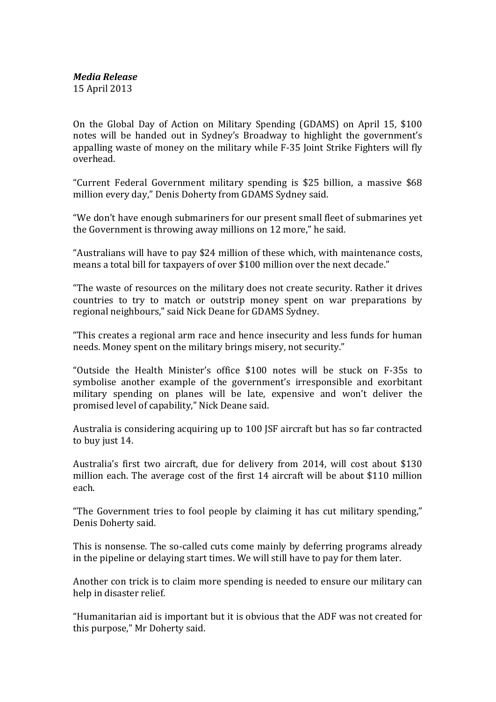On the Global Day of Action on Military Spending (GDAMS) on April 15, \$100 notes will be handed out in Sydney's Broadway to highlight the government's appalling waste of money on the military while F-35 Joint Strike Fighters will fly overhead.

"Current Federal Government military spending is \$25 billion, a massive \$68 million every day," Denis Doherty from GDAMS Sydney said.

"We don't have enough submariners for our present small fleet of submarines yet the Government is throwing away millions on 12 more," he said.

"Australians will have to pay \$24 million of these which, with maintenance costs, means a total bill for taxpayers of over \$100 million over the next decade."

"The waste of resources on the military does not create security. Rather it drives countries to try to match or outstrip money spent on war preparations by regional neighbours," said Nick Deane for GDAMS Sydney.

"This creates a regional arm race and hence insecurity and less funds for human needs. Money spent on the military brings misery, not security."

"Outside the Health Minister's office \$100 notes will be stuck on F-35s to symbolise another example of the government's irresponsible and exorbitant military spending on planes will be late, expensive and won't deliver the promised level of capability," Nick Deane said.

Australia is considering acquiring up to 100 JSF aircraft but has so far contracted to buy just 14.

Australia's first two aircraft, due for delivery from 2014, will cost about \$130 million each. The average cost of the first 14 aircraft will be about \$110 million each.

"The Government tries to fool people by claiming it has cut military spending," Denis Doherty said.

This is nonsense. The so-called cuts come mainly by deferring programs already in the pipeline or delaying start times. We will still have to pay for them later.

Another con trick is to claim more spending is needed to ensure our military can help in disaster relief.

"Humanitarian aid is important but it is obvious that the ADF was not created for this purpose," Mr Doherty said.